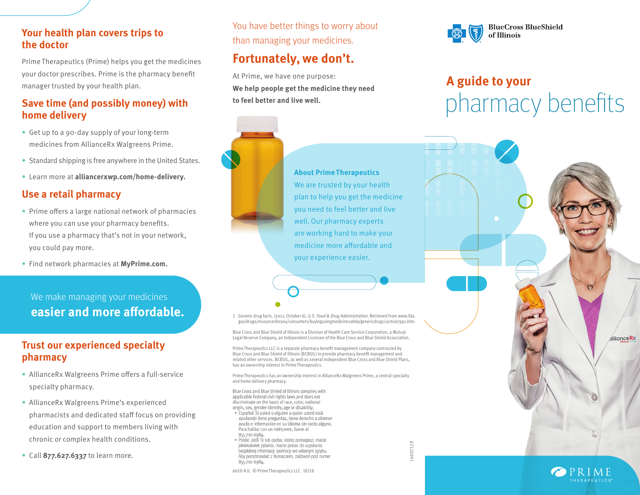#### **Your health plan covers trips to the doctor**

Prime Therapeutics (Prime) helps you get the medicines your doctor prescribes. Prime is the pharmacy benefit manager trusted by your health plan.

## **Save time (and possibly money) with home delivery**

- Get up to a 90-day supply of your long-term medicines from AllianceRx Walgreens Prime.
- Standard shipping is free anywhere in the United States.
- Learn more at **alliancerxwp.com/home-delivery.**

### **Use a retail pharmacy**

- Prime offers a large national network of pharmacies where you can use your pharmacy benefits. If you use a pharmacy that's not in your network, you could pay more.
- Find network pharmacies at **MyPrime.com.**

## We make managing your medicines **easier and more affordable.**

## **Trust our experienced specialty pharmacy**

- AllianceRx Walgreens Prime offers a full-service specialty pharmacy.
- AllianceRx Walgreens Prime's experienced pharmacists and dedicated staff focus on providing education and support to members living with chronic or complex health conditions.
- Call **877.627.6337** to learn more.

You have better things to worry about than managing your medicines.

## **Fortunately, we don't.**

At Prime, we have one purpose: **We help people get the medicine they need to feel better and live well.**



#### **About Prime Therapeutics** We are trusted by your health

plan to help you get the medicine you need to feel better and live well. Our pharmacy experts are working hard to make your medicine more affordable and your experience easier.



## pharmacy benefits **A guide to your**



6610-A IL © Prime Therapeutics LLC 10/18

origin, sex, gender identity, age or disability. · Español: Si usted o alguien a quien usted está ayudando tiene preguntas, tiene derecho a obtener ayuda e información en su idioma sin costo alguno. Para hablar con un intérprete, llame al

· Polski: Jeśli Ty lub osoba, której pomagasz, macie

jakiekolwiek pytania, macie prawo do uzyskania bezpłatnej informacji i pomocy we własnym języku. Aby porozmawiać z tłumaczem, zadzwoń pod numer

855-710-6984.

855-710-6984.